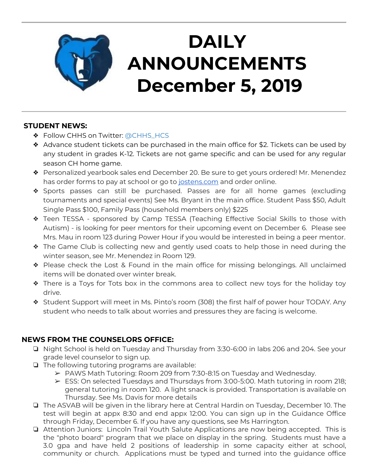

# **DAILY ANNOUNCEMENTS December 5, 2019**

## **STUDENT NEWS:**

- ❖ Follow CHHS on Twitter: [@CHHS\\_HCS](https://twitter.com/CHHS_HCS)
- ❖ Advance student tickets can be purchased in the main office for \$2. Tickets can be used by any student in grades K-12. Tickets are not game specific and can be used for any regular season CH home game.
- ❖ Personalized yearbook sales end December 20. Be sure to get yours ordered! Mr. Menendez has order forms to pay at school or go to [jostens.com](http://jostens.com/) and order online.
- ❖ Sports passes can still be purchased. Passes are for all home games (excluding tournaments and special events) See Ms. Bryant in the main office. Student Pass \$50, Adult Single Pass \$100, Family Pass (household members only) \$225
- ❖ Teen TESSA sponsored by Camp TESSA (Teaching Effective Social Skills to those with Autism) - is looking for peer mentors for their upcoming event on December 6. Please see Mrs. Mau in room 123 during Power Hour if you would be interested in being a peer mentor.
- ❖ The Game Club is collecting new and gently used coats to help those in need during the winter season, see Mr. Menendez in Room 129.
- ❖ Please check the Lost & Found in the main office for missing belongings. All unclaimed items will be donated over winter break.
- ❖ There is a Toys for Tots box in the commons area to collect new toys for the holiday toy drive.
- ❖ Student Support will meet in Ms. Pinto's room (308) the first half of power hour TODAY. Any student who needs to talk about worries and pressures they are facing is welcome.

# **NEWS FROM THE COUNSELORS OFFICE:**

- ❏ Night School is held on Tuesday and Thursday from 3:30-6:00 in labs 206 and 204. See your grade level counselor to sign up.
- ❏ The following tutoring programs are available:
	- ➢ PAWS Math Tutoring: Room 209 from 7:30-8:15 on Tuesday and Wednesday.
	- $\triangleright$  ESS: On selected Tuesdays and Thursdays from 3:00-5:00. Math tutoring in room 218; general tutoring in room 120. A light snack is provided. Transportation is available on Thursday. See Ms. Davis for more details
- ❏ The ASVAB will be given in the library here at Central Hardin on Tuesday, December 10. The test will begin at appx 8:30 and end appx 12:00. You can sign up in the Guidance Office through Friday, December 6. If you have any questions, see Ms Harrington.
- ❏ Attention Juniors: Lincoln Trail Youth Salute Applications are now being accepted. This is the "photo board" program that we place on display in the spring. Students must have a 3.0 gpa and have held 2 positions of leadership in some capacity either at school, community or church. Applications must be typed and turned into the guidance office